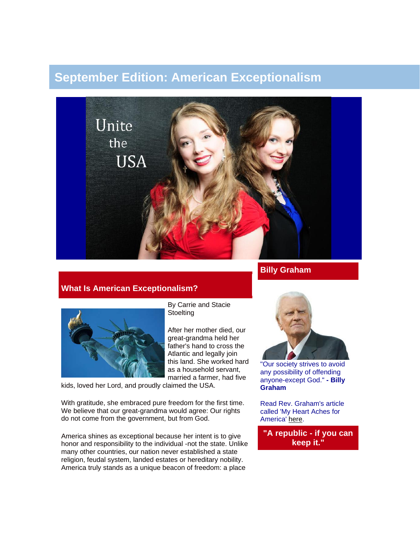# **September Edition: American Exceptionalism**



# **What Is American Exceptionalism?**



By Carrie and Stacie **Stoelting** 

After her mother died, our great-grandma held her father's hand to cross the Atlantic and legally join this land. She worked hard as a household servant, married a farmer, had five

kids, loved her Lord, and proudly claimed the USA.

With gratitude, she embraced pure freedom for the first time. We believe that our great-grandma would agree: Our rights do not come from the government, but from God.

America shines as exceptional because her intent is to give honor and responsibility to the individual -not the state. Unlike many other countries, our nation never established a state religion, feudal system, landed estates or hereditary nobility. America truly stands as a unique beacon of freedom: a place

"Our society strives to avoid

any possibility of offending anyone-except God." **- Billy Graham**

Read Rev. Graham's article called 'My Heart Aches for America' [here.](http://www.billygraham.org/articlepage.asp?articleid=8813)

**"A republic - if you can keep it."**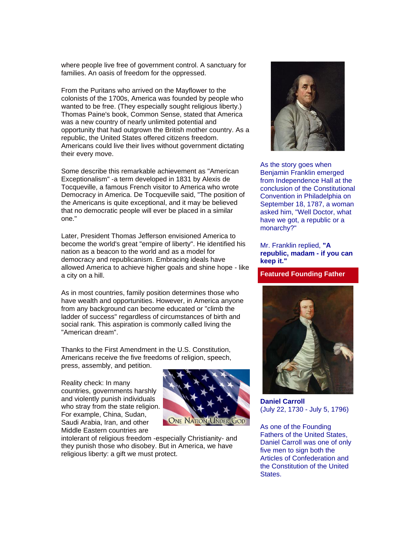where people live free of government control. A sanctuary for families. An oasis of freedom for the oppressed.

From the Puritans who arrived on the Mayflower to the colonists of the 1700s, America was founded by people who wanted to be free. (They especially sought religious liberty.) Thomas Paine's book, Common Sense, stated that America was a new country of nearly unlimited potential and opportunity that had outgrown the British mother country. As a republic, the United States offered citizens freedom. Americans could live their lives without government dictating their every move.

Some describe this remarkable achievement as "American Exceptionalism" -a term developed in 1831 by Alexis de Tocqueville, a famous French visitor to America who wrote Democracy in America. De Tocqueville said, "The position of the Americans is quite exceptional, and it may be believed that no democratic people will ever be placed in a similar one."

Later, President Thomas Jefferson envisioned America to become the world's great "empire of liberty". He identified his nation as a beacon to the world and as a model for democracy and republicanism. Embracing ideals have allowed America to achieve higher goals and shine hope - like a city on a hill.

As in most countries, family position determines those who have wealth and opportunities. However, in America anyone from any background can become educated or "climb the ladder of success" regardless of circumstances of birth and social rank. This aspiration is commonly called living the "American dream".

Thanks to the First Amendment in the U.S. Constitution, Americans receive the five freedoms of religion, speech, press, assembly, and petition.

Reality check: In many countries, governments harshly and violently punish individuals who stray from the state religion. For example, China, Sudan, Saudi Arabia, Iran, and other Middle Eastern countries are



intolerant of religious freedom -especially Christianity- and they punish those who disobey. But in America, we have religious liberty: a gift we must protect.



As the story goes when Benjamin Franklin emerged from Independence Hall at the conclusion of the Constitutional Convention in Philadelphia on September 18, 1787, a woman asked him, "Well Doctor, what have we got, a republic or a monarchy?"

#### Mr. Franklin replied, **"A republic, madam - if you can keep it."**

#### **Featured Founding Father**



**Daniel Carroll** (July 22, 1730 - July 5, 1796)

As one of the Founding Fathers of the United States, Daniel Carroll was one of only five men to sign both the Articles of Confederation and the Constitution of the United States.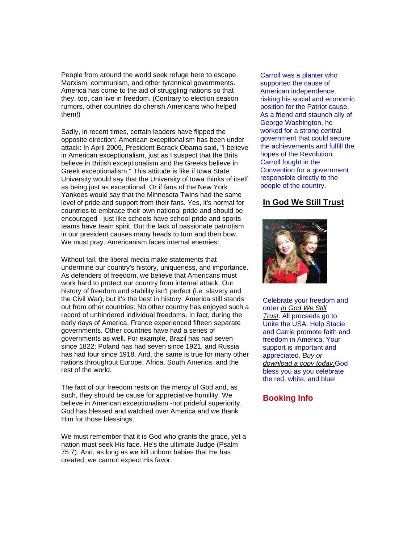People from around the world seek refuge here to escape Marxism, communism, and other tyrannical governments. America has come to the aid of struggling nations so that they, too, can live in freedom. (Contrary to election season rumors, other countries do cherish Americans who helped them!)

Sadly, in recent times, certain leaders have flipped the opposite direction: American exceptionalism has been under attack: In April 2009, President Barack Obama said, "I believe in American exceptionalism, just as I suspect that the Brits believe in British exceptionalism and the Greeks believe in Greek exceptionalism." This attitude is like if Iowa State University would say that the University of Iowa thinks of itself as being just as exceptional. Or if fans of the New York Yankees would say that the Minnesota Twins had the same level of pride and support from their fans. Yes, it's normal for countries to embrace their own national pride and should be encouraged - just like schools have school pride and sports teams have team spirit. But the lack of passionate patriotism in our president causes many heads to turn and then bow. We must pray. Americanism faces internal enemies:

Without fail, the liberal media make statements that undermine our country's history, uniqueness, and importance. As defenders of freedom, we believe that Americans must work hard to protect our country from internal attack. Our history of freedom and stability isn't perfect (i.e. slavery and the Civil War), but it's the best in history: America still stands out from other countries: No other country has enjoyed such a record of unhindered individual freedoms. In fact, during the early days of America, France experienced fifteen separate governments. Other countries have had a series of governments as well. For example, Brazil has had seven since 1822; Poland has had seven since 1921, and Russia has had four since 1918. And, the same is true for many other nations throughout Europe, Africa, South America, and the rest of the world.

The fact of our freedom rests on the mercy of God and, as such, they should be cause for appreciative humility. We believe in American exceptionalism -not prideful superiority. God has blessed and watched over America and we thank Him for those blessings.

We must remember that it is God who grants the grace, yet a nation must seek His face. He's the ultimate Judge (Psalm 75:7). And, as long as we kill unborn babies that He has created, we cannot expect His favor.

Carroll was a planter who supported the cause of American independence, risking his social and economic position for the Patriot cause. As a friend and staunch ally of George Washington, he worked for a strong central government that could secure the achievements and fulfill the hopes of the Revolution. Carroll fought in the Convention for a government responsible directly to the people of the country.

## **[In God We Still Trust](http://unitetheusa.org/id56.html)**



Celebrate your freedom and order *[In God We Still](http://unitetheusa.org/id56.html)  [Trust](http://unitetheusa.org/id56.html)*. All proceeds go to Unite the USA. Help Stacie and Carrie promote faith and freedom in America. Your support is important and appreciated. *[Buy or](http://unitetheusa.org/id56.html)  [download a copy today.](http://unitetheusa.org/id56.html)*God bless you as you celebrate the red, white, and blue!

## **Booking Info**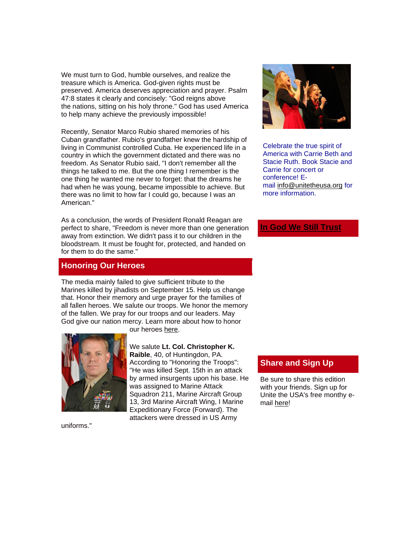We must turn to God, humble ourselves, and realize the treasure which is America. God-given rights must be preserved. America deserves appreciation and prayer. Psalm 47:8 states it clearly and concisely: "God reigns above the nations, sitting on his holy throne." God has used America to help many achieve the previously impossible!

Recently, Senator Marco Rubio shared memories of his Cuban grandfather. Rubio's grandfather knew the hardship of living in Communist controlled Cuba. He experienced life in a country in which the government dictated and there was no freedom. As Senator Rubio said, "I don't remember all the things he talked to me. But the one thing I remember is the one thing he wanted me never to forget: that the dreams he had when he was young, became impossible to achieve. But there was no limit to how far I could go, because I was an American."

As a conclusion, the words of President Ronald Reagan are perfect to share, "Freedom is never more than one generation away from extinction. We didn't pass it to our children in the bloodstream. It must be fought for, protected, and handed on for them to do the same."

## **Honoring Our Heroes**

The media mainly failed to give sufficient tribute to the Marines killed by jihadists on September 15. Help us change that. Honor their memory and urge prayer for the families of all fallen heroes. We salute our troops. We honor the memory of the fallen. We pray for our troops and our leaders. May God give our nation mercy. Learn more about how to honor our heroes [here.](http://unitetheusa.org/id73.html)



According to "Honoring the Troops": "He was killed Sept. 15th in an attack by armed insurgents upon his base. He was assigned to Marine Attack Squadron 211, Marine Aircraft Group 13, 3rd Marine Aircraft Wing, I Marine Expeditionary Force (Forward). The attackers were dressed in US Army

We salute **Lt. Col. Christopher K. Raible**, 40, of Huntingdon, PA.



Celebrate the true spirit of America with Carrie Beth and Stacie Ruth. Book Stacie and Carrie for concert or conference! Email [info@unitetheusa.org](mailto:info@unitetheusa.org) for more information.

### **[In God We Still Trust](http://www.youtube.com/watch?v=FygzW-tLye0&feature=youtu.be)**

# **Share and Sign Up**

Be sure to share this edition with your friends. Sign up for Unite the USA's free monthy email [here!](http://unitetheusa.org/id2.html)

uniforms."